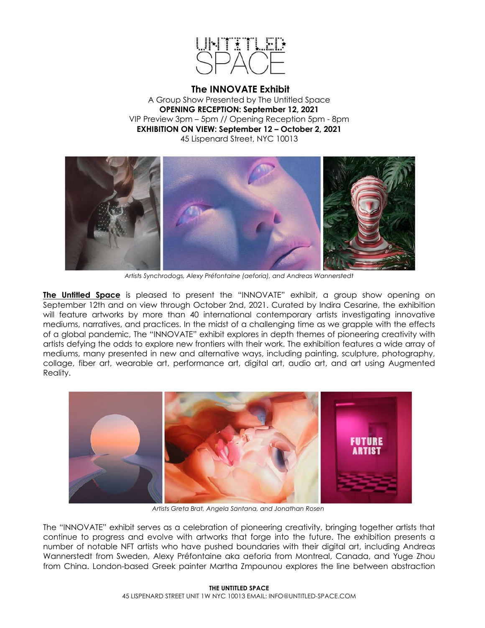

**The INNOVATE Exhibit** A Group Show Presented by The Untitled Space **OPENING RECEPTION: September 12, 2021** VIP Preview 3pm – 5pm // Opening Reception 5pm - 8pm **EXHIBITION ON VIEW: September 12 – October 2, 2021** 45 Lispenard Street, NYC 10013



*Artists Synchrodogs, Alexy Préfontaine (aeforia), and Andreas Wannerstedt*

**The Untitled Space** is pleased to present the "INNOVATE" exhibit, a group show opening on September 12th and on view through October 2nd, 2021. Curated by Indira Cesarine, the exhibition will feature artworks by more than 40 international contemporary artists investigating innovative mediums, narratives, and practices. In the midst of a challenging time as we grapple with the effects of a global pandemic, The "INNOVATE" exhibit explores in depth themes of pioneering creativity with artists defying the odds to explore new frontiers with their work. The exhibition features a wide array of mediums, many presented in new and alternative ways, including painting, sculpture, photography, collage, fiber art, wearable art, performance art, digital art, audio art, and art using Augmented Reality.



*Artists Greta Brat, Angela Santana, and Jonathan Rosen*

The "INNOVATE" exhibit serves as a celebration of pioneering creativity, bringing together artists that continue to progress and evolve with artworks that forge into the future. The exhibition presents a number of notable NFT artists who have pushed boundaries with their digital art, including Andreas Wannerstedt from Sweden, Alexy Préfontaine aka aeforia from Montreal, Canada, and Yuge Zhou from China. London-based Greek painter Martha Zmpounou explores the line between abstraction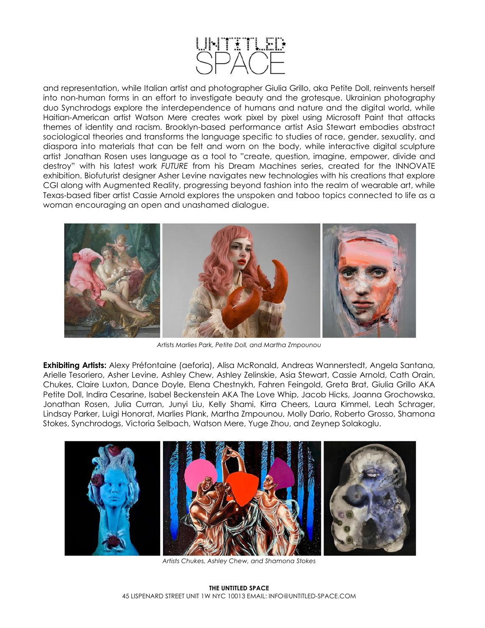

and representation, while Italian artist and photographer Giulia Grillo, aka Petite Doll, reinvents herself into non-human forms in an effort to investigate beauty and the grotesque. Ukrainian photography duo Synchrodogs explore the interdependence of humans and nature and the digital world, while Haitian-American artist Watson Mere creates work pixel by pixel using Microsoft Paint that attacks themes of identity and racism. Brooklyn-based performance artist Asia Stewart embodies abstract sociological theories and transforms the language specific to studies of race, gender, sexuality, and diaspora into materials that can be felt and worn on the body, while interactive digital sculpture artist Jonathan Rosen uses language as a tool to "create, question, imagine, empower, divide and destroy" with his latest work *FUTURE* from his Dream Machines series, created for the INNOVATE exhibition. Biofuturist designer Asher Levine navigates new technologies with his creations that explore CGI along with Augmented Reality, progressing beyond fashion into the realm of wearable art, while Texas-based fiber artist Cassie Arnold explores the unspoken and taboo topics connected to life as a woman encouraging an open and unashamed dialogue.



*Artists Marlies Park, Petite Doll, and Martha Zmpounou*

**Exhibiting Artists:** Alexy Préfontaine (aeforia), Alisa McRonald, Andreas Wannerstedt, Angela Santana, Arielle Tesoriero, Asher Levine, Ashley Chew, Ashley Zelinskie, Asia Stewart, Cassie Arnold, Cath Orain, Chukes, Claire Luxton, Dance Doyle, Elena Chestnykh, Fahren Feingold, Greta Brat, Giulia Grillo AKA Petite Doll, Indira Cesarine, Isabel Beckenstein AKA The Love Whip, Jacob Hicks, Joanna Grochowska, Jonathan Rosen, Julia Curran, Junyi Liu, Kelly Shami, Kirra Cheers, Laura Kimmel, Leah Schrager, Lindsay Parker, Luigi Honorat, Marlies Plank, Martha Zmpounou, Molly Dario, Roberto Grosso, Shamona Stokes, Synchrodogs, Victoria Selbach, Watson Mere, Yuge Zhou, and Zeynep Solakoglu.



*Artists Chukes, Ashley Chew, and Shamona Stokes*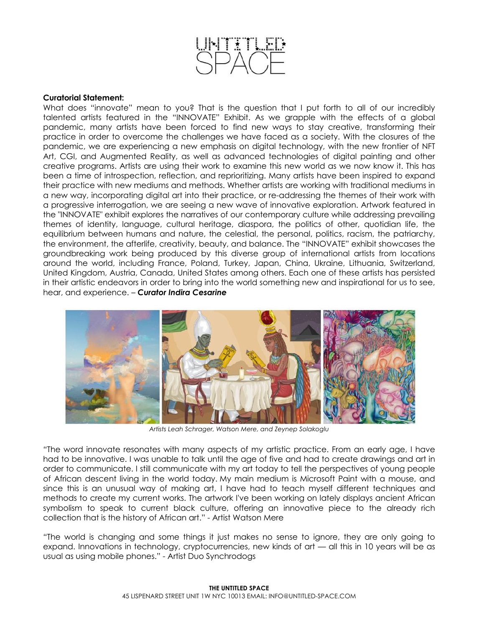

## **Curatorial Statement:**

What does "innovate" mean to you? That is the question that I put forth to all of our incredibly talented artists featured in the "INNOVATE" Exhibit. As we grapple with the effects of a global pandemic, many artists have been forced to find new ways to stay creative, transforming their practice in order to overcome the challenges we have faced as a society. With the closures of the pandemic, we are experiencing a new emphasis on digital technology, with the new frontier of NFT Art, CGI, and Augmented Reality, as well as advanced technologies of digital painting and other creative programs. Artists are using their work to examine this new world as we now know it. This has been a time of introspection, reflection, and reprioritizing. Many artists have been inspired to expand their practice with new mediums and methods. Whether artists are working with traditional mediums in a new way, incorporating digital art into their practice, or re-addressing the themes of their work with a progressive interrogation, we are seeing a new wave of innovative exploration. Artwork featured in the "INNOVATE" exhibit explores the narratives of our contemporary culture while addressing prevailing themes of identity, language, cultural heritage, diaspora, the politics of other, quotidian life, the equilibrium between humans and nature, the celestial, the personal, politics, racism, the patriarchy, the environment, the afterlife, creativity, beauty, and balance. The "INNOVATE" exhibit showcases the groundbreaking work being produced by this diverse group of international artists from locations around the world, including France, Poland, Turkey, Japan, China, Ukraine, Lithuania, Switzerland, United Kingdom, Austria, Canada, United States among others. Each one of these artists has persisted in their artistic endeavors in order to bring into the world something new and inspirational for us to see, hear, and experience. – *Curator Indira Cesarine*



*Artists Leah Schrager, Watson Mere, and Zeynep Solakoglu*

*"*The word innovate resonates with many aspects of my artistic practice. From an early age, I have had to be innovative. I was unable to talk until the age of five and had to create drawings and art in order to communicate. I still communicate with my art today to tell the perspectives of young people of African descent living in the world today. My main medium is Microsoft Paint with a mouse, and since this is an unusual way of making art, I have had to teach myself different techniques and methods to create my current works. The artwork I've been working on lately displays ancient African symbolism to speak to current black culture, offering an innovative piece to the already rich collection that is the history of African art." - Artist Watson Mere

*"*The world is changing and some things it just makes no sense to ignore, they are only going to expand. Innovations in technology, cryptocurrencies, new kinds of art — all this in 10 years will be as usual as using mobile phones." - Artist Duo Synchrodogs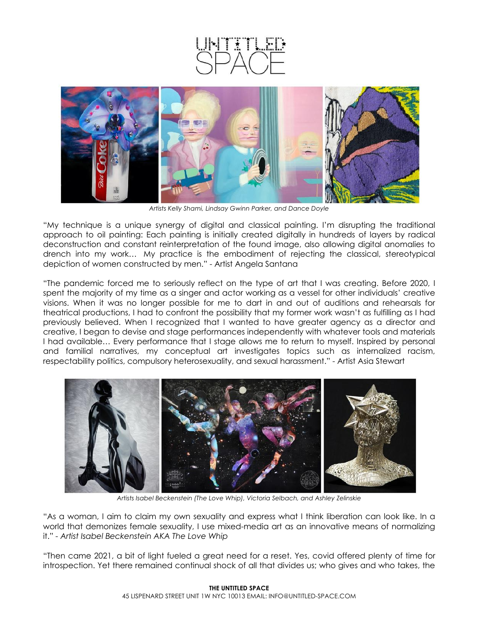



*Artists Kelly Shami, Lindsay Gwinn Parker, and Dance Doyle*

"My technique is a unique synergy of digital and classical painting. I'm disrupting the traditional approach to oil painting: Each painting is initially created digitally in hundreds of layers by radical deconstruction and constant reinterpretation of the found image, also allowing digital anomalies to drench into my work… My practice is the embodiment of rejecting the classical, stereotypical depiction of women constructed by men." - Artist Angela Santana

"The pandemic forced me to seriously reflect on the type of art that I was creating. Before 2020, I spent the majority of my time as a singer and actor working as a vessel for other individuals' creative visions. When it was no longer possible for me to dart in and out of auditions and rehearsals for theatrical productions, I had to confront the possibility that my former work wasn't as fulfilling as I had previously believed. When I recognized that I wanted to have greater agency as a director and creative, I began to devise and stage performances independently with whatever tools and materials I had available… Every performance that I stage allows me to return to myself. Inspired by personal and familial narratives, my conceptual art investigates topics such as internalized racism, respectability politics, compulsory heterosexuality, and sexual harassment." - Artist Asia Stewart



*Artists Isabel Beckenstein (The Love Whip), Victoria Selbach, and Ashley Zelinskie*

"As a woman, I aim to claim my own sexuality and express what I think liberation can look like. In a world that demonizes female sexuality, I use mixed-media art as an innovative means of normalizing it." *- Artist Isabel Beckenstein AKA The Love Whip*

"Then came 2021, a bit of light fueled a great need for a reset. Yes, covid offered plenty of time for introspection. Yet there remained continual shock of all that divides us; who gives and who takes, the